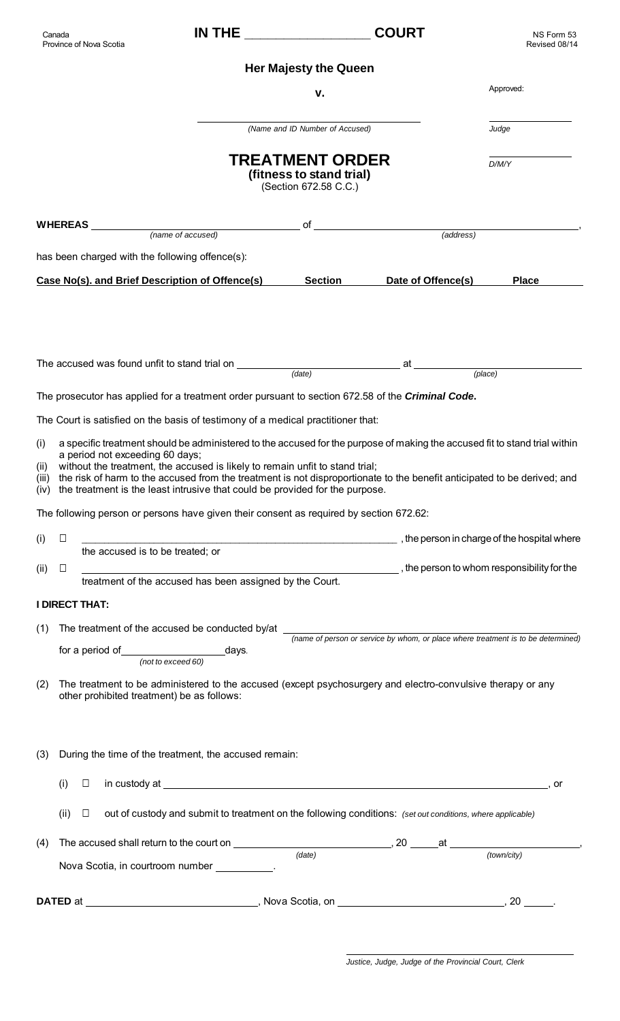|                              | Canada<br>Province of Nova Scotia |                                                          |                                                                                                                                                                                                                                                         |                                                                             | <b>COURT</b>                                                                                                                                                                                                                                                 | NS Form 53<br>Revised 08/14 |  |  |  |  |
|------------------------------|-----------------------------------|----------------------------------------------------------|---------------------------------------------------------------------------------------------------------------------------------------------------------------------------------------------------------------------------------------------------------|-----------------------------------------------------------------------------|--------------------------------------------------------------------------------------------------------------------------------------------------------------------------------------------------------------------------------------------------------------|-----------------------------|--|--|--|--|
| <b>Her Majesty the Queen</b> |                                   |                                                          |                                                                                                                                                                                                                                                         |                                                                             |                                                                                                                                                                                                                                                              |                             |  |  |  |  |
|                              |                                   |                                                          |                                                                                                                                                                                                                                                         | v.                                                                          |                                                                                                                                                                                                                                                              | Approved:                   |  |  |  |  |
|                              |                                   |                                                          |                                                                                                                                                                                                                                                         | (Name and ID Number of Accused)                                             |                                                                                                                                                                                                                                                              | Judge                       |  |  |  |  |
|                              |                                   |                                                          |                                                                                                                                                                                                                                                         | <b>TREATMENT ORDER</b><br>(fitness to stand trial)<br>(Section 672.58 C.C.) |                                                                                                                                                                                                                                                              | D/M/Y                       |  |  |  |  |
|                              |                                   |                                                          | WHEREAS <i>(name of accused)</i>                                                                                                                                                                                                                        |                                                                             | of <u>example and the contract of</u> $(address)$                                                                                                                                                                                                            |                             |  |  |  |  |
|                              |                                   |                                                          |                                                                                                                                                                                                                                                         |                                                                             |                                                                                                                                                                                                                                                              |                             |  |  |  |  |
|                              |                                   | has been charged with the following offence(s):          |                                                                                                                                                                                                                                                         |                                                                             |                                                                                                                                                                                                                                                              |                             |  |  |  |  |
|                              |                                   |                                                          | Case No(s). and Brief Description of Offence(s)                                                                                                                                                                                                         | <b>Section</b>                                                              | Date of Offence(s)                                                                                                                                                                                                                                           | <b>Place</b>                |  |  |  |  |
|                              |                                   |                                                          | The accused was found unfit to stand trial on __________________________________                                                                                                                                                                        | (date)                                                                      | at $\frac{1}{\sqrt{1-\frac{1}{2}}}\sqrt{1-\frac{1}{2}}$                                                                                                                                                                                                      | (place)                     |  |  |  |  |
|                              |                                   |                                                          |                                                                                                                                                                                                                                                         |                                                                             | The prosecutor has applied for a treatment order pursuant to section 672.58 of the <i>Criminal Code</i> .                                                                                                                                                    |                             |  |  |  |  |
|                              |                                   |                                                          | The Court is satisfied on the basis of testimony of a medical practitioner that:                                                                                                                                                                        |                                                                             |                                                                                                                                                                                                                                                              |                             |  |  |  |  |
| (i)<br>(ii)<br>(iv)          |                                   | a period not exceeding 60 days;                          | without the treatment, the accused is likely to remain unfit to stand trial;<br>the treatment is the least intrusive that could be provided for the purpose.<br>The following person or persons have given their consent as required by section 672.62: |                                                                             | a specific treatment should be administered to the accused for the purpose of making the accused fit to stand trial within<br>(iii) the risk of harm to the accused from the treatment is not disproportionate to the benefit anticipated to be derived; and |                             |  |  |  |  |
|                              |                                   |                                                          |                                                                                                                                                                                                                                                         |                                                                             |                                                                                                                                                                                                                                                              |                             |  |  |  |  |
| (i)                          | $\Box$                            | the accused is to be treated; or                         |                                                                                                                                                                                                                                                         |                                                                             | the person in charge of the hospital where (in the person in charge of the hospital where                                                                                                                                                                    |                             |  |  |  |  |
| (ii)                         | $\Box$                            | treatment of the accused has been assigned by the Court. |                                                                                                                                                                                                                                                         |                                                                             |                                                                                                                                                                                                                                                              |                             |  |  |  |  |
|                              | <b>I DIRECT THAT:</b>             |                                                          |                                                                                                                                                                                                                                                         |                                                                             |                                                                                                                                                                                                                                                              |                             |  |  |  |  |
| (1)                          |                                   |                                                          |                                                                                                                                                                                                                                                         |                                                                             |                                                                                                                                                                                                                                                              |                             |  |  |  |  |
|                              |                                   | (not to exceed 60)                                       |                                                                                                                                                                                                                                                         |                                                                             |                                                                                                                                                                                                                                                              |                             |  |  |  |  |
| (2)                          |                                   | other prohibited treatment) be as follows:               |                                                                                                                                                                                                                                                         |                                                                             | The treatment to be administered to the accused (except psychosurgery and electro-convulsive therapy or any                                                                                                                                                  |                             |  |  |  |  |
| (3)                          |                                   |                                                          | During the time of the treatment, the accused remain:                                                                                                                                                                                                   |                                                                             |                                                                                                                                                                                                                                                              |                             |  |  |  |  |
|                              | (i)<br>Ш                          |                                                          |                                                                                                                                                                                                                                                         |                                                                             | in custody at example and the state of the state of the state of the state of the state of the state of the state of the state of the state of the state of the state of the state of the state of the state of the state of t                               | or                          |  |  |  |  |
|                              | (ii)<br>$\Box$                    |                                                          |                                                                                                                                                                                                                                                         |                                                                             | out of custody and submit to treatment on the following conditions: (set out conditions, where applicable)                                                                                                                                                   |                             |  |  |  |  |
| (4)                          |                                   |                                                          |                                                                                                                                                                                                                                                         | (date)                                                                      |                                                                                                                                                                                                                                                              | (town/city)                 |  |  |  |  |
|                              |                                   |                                                          | Nova Scotia, in courtroom number __________.                                                                                                                                                                                                            |                                                                             |                                                                                                                                                                                                                                                              |                             |  |  |  |  |
|                              |                                   |                                                          |                                                                                                                                                                                                                                                         |                                                                             |                                                                                                                                                                                                                                                              |                             |  |  |  |  |